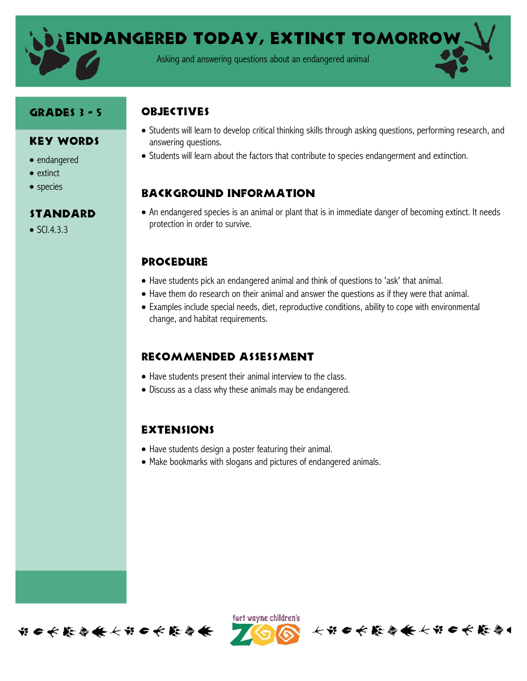Endangered today, extinct tomorrow

Asking and answering questions about an endangered animal

#### Grades 3 - 5

### **OBJECTIVES**

- Key Words
- endangered
- extinct
- species

## **STANDARD**

 $\bullet$  SCI.4.3.3

- Students will learn to develop critical thinking skills through asking questions, performing research, and answering questions.
- Students will learn about the factors that contribute to species endangerment and extinction.

# Background information

 An endangered species is an animal or plant that is in immediate danger of becoming extinct. It needs protection in order to survive.

#### **PROCEDURE**

- Have students pick an endangered animal and think of questions to 'ask' that animal.
- Have them do research on their animal and answer the questions as if they were that animal.
- Examples include special needs, diet, reproductive conditions, ability to cope with environmental change, and habitat requirements.

# Recommended assessment

- Have students present their animal interview to the class.
- Discuss as a class why these animals may be endangered.

# **EXTENSIONS**

- Have students design a poster featuring their animal.
- Make bookmarks with slogans and pictures of endangered animals.





长节日长能会长长节日长能会